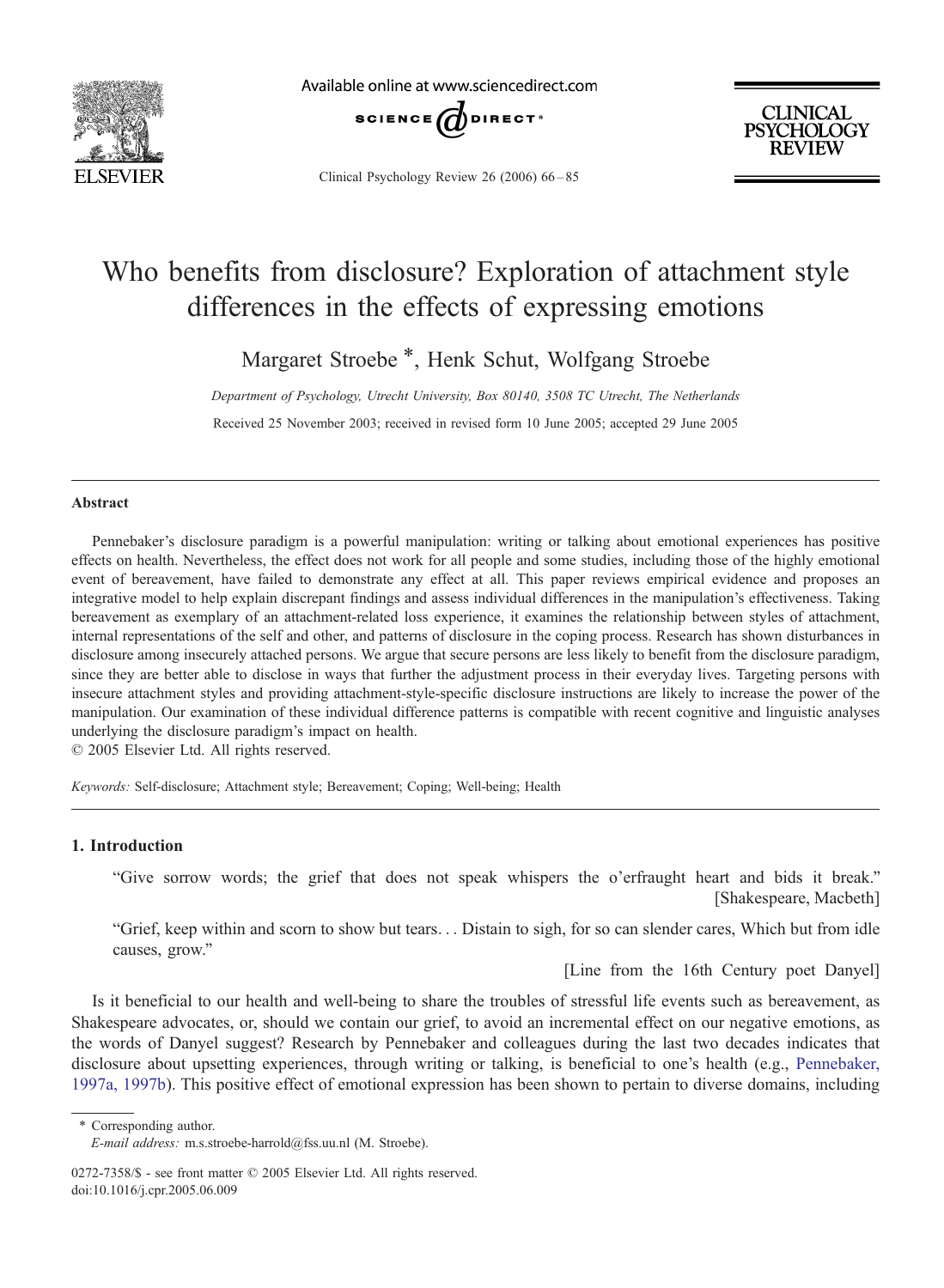

Available online at www.sciencedirect.com



Clinical Psychology Review 26 (2006) 66-85

**CLINICAL PSYCHOLOGY REVIEW** 

## Who benefits from disclosure? Exploration of attachment style differences in the effects of expressing emotions

Margaret Stroebe \*, Henk Schut, Wolfgang Stroebe

Department of Psychology, Utrecht University, Box 80140, 3508 TC Utrecht, The Netherlands

Received 25 November 2003; received in revised form 10 June 2005; accepted 29 June 2005

#### Abstract

Pennebaker's disclosure paradigm is a powerful manipulation: writing or talking about emotional experiences has positive effects on health. Nevertheless, the effect does not work for all people and some studies, including those of the highly emotional event of bereavement, have failed to demonstrate any effect at all. This paper reviews empirical evidence and proposes an integrative model to help explain discrepant findings and assess individual differences in the manipulation's effectiveness. Taking bereavement as exemplary of an attachment-related loss experience, it examines the relationship between styles of attachment, internal representations of the self and other, and patterns of disclosure in the coping process. Research has shown disturbances in disclosure among insecurely attached persons. We argue that secure persons are less likely to benefit from the disclosure paradigm, since they are better able to disclose in ways that further the adjustment process in their everyday lives. Targeting persons with insecure attachment styles and providing attachment-style-specific disclosure instructions are likely to increase the power of the manipulation. Our examination of these individual difference patterns is compatible with recent cognitive and linguistic analyses underlying the disclosure paradigm's impact on health.

 $© 2005 Elsevier Ltd. All rights reserved.$ 

Keywords: Self-disclosure; Attachment style; Bereavement; Coping; Well-being; Health

### 1. Introduction

"Give sorrow words; the grief that does not speak whispers the o'erfraught heart and bids it break." [Shakespeare, Macbeth]

"Grief, keep within and scorn to show but tears... Distain to sigh, for so can slender cares, Which but from idle causes, grow."

[Line from the 16th Century poet Danyel]

Is it beneficial to our health and well-being to share the troubles of stressful life events such as bereavement, as Shakespeare advocates, or, should we contain our grief, to avoid an incremental effect on our negative emotions, as the words of Danyel suggest? Research by Pennebaker and colleagues during the last two decades indicates that disclosure about upsetting experiences, through writing or talking, is beneficial to one's health (e.g., P[ennebaker](#page--1-0), 1997a, 1997b). This positive effect of emotional expression has been shown to pertain to diverse domains, including

\* Corresponding author.

E-mail address: m.s.stroebe-harrold@fss.uu.nl (M. Stroebe).

<sup>0272-7358/\$ -</sup> see front matter © 2005 Elsevier Ltd. All rights reserved. doi:10.1016/j.cpr.2005.06.009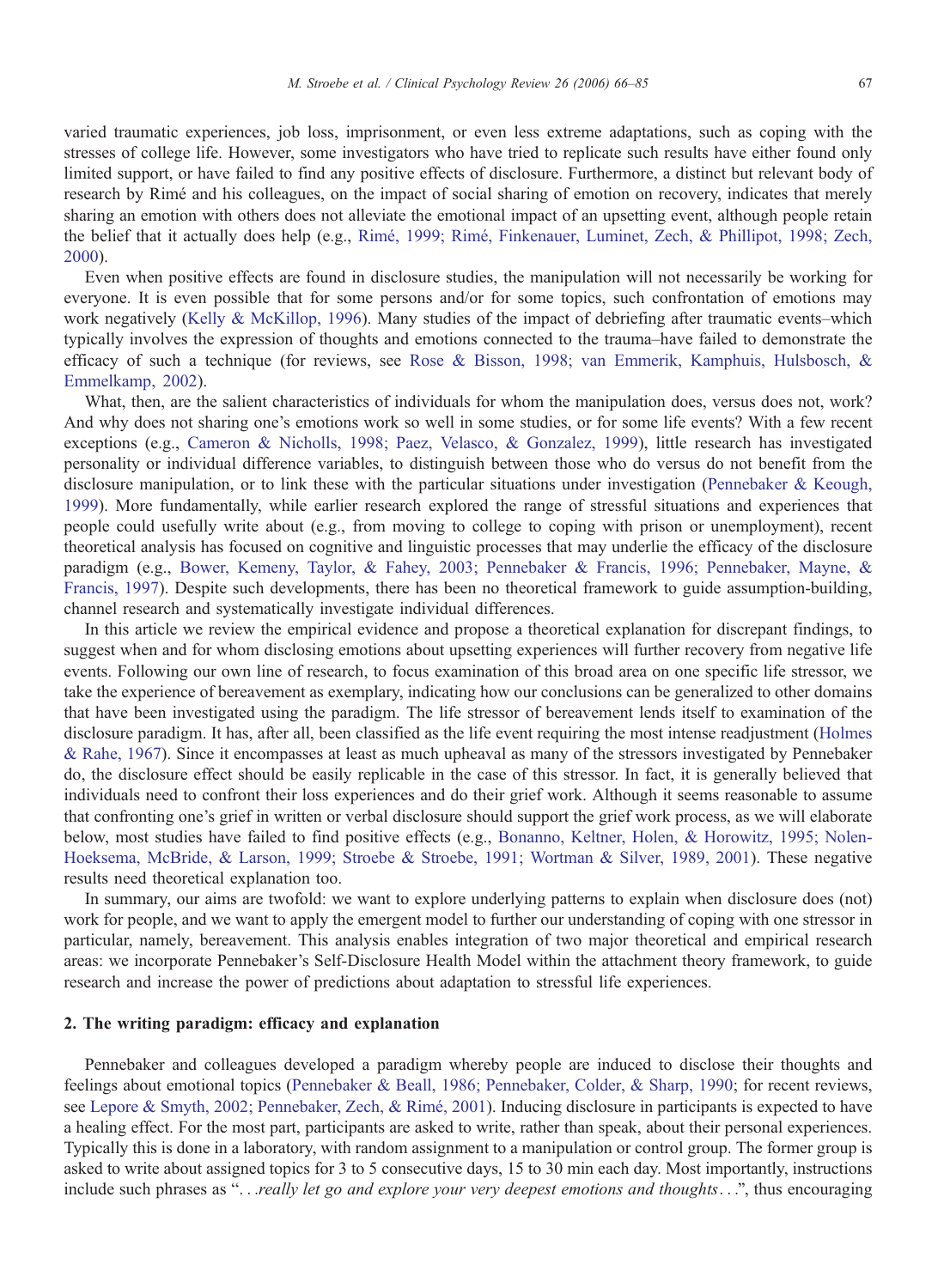varied traumatic experiences, job loss, imprisonment, or even less extreme adaptations, such as coping with the stresses of college life. However, some investigators who have tried to replicate such results have either found only limited support, or have failed to find any positive effects of disclosure. Furthermore, a distinct but relevant body of research by Rimé and his colleagues, on the impact of social sharing of emotion on recovery, indicates that merely sharing an emotion with others does not alleviate the emotional impact of an upsetting event, although people retain the belief that it actually does help (e.g., Rimé, 1999; Rimé, Finkenauer, Luminet, Zech, & Phillipot, 1998; Zech, 2000).

Even when positive effects are found in disclosure studies, the manipulation will not necessarily be working for everyone. It is even possible that for some persons and/or for some topics, such confrontation of emotions may work negatively ([Kelly & McKillop, 1996\).](#page--1-0) Many studies of the impact of debriefing after traumatic events–which typically involves the expression of thoughts and emotions connected to the trauma–have failed to demonstrate the efficacy of such a technique (for reviews, see R[ose & Bisson, 1998; van Emmerik, Kamphuis, Hulsbosch, &](#page--1-0) Emmelkamp, 2002).

What, then, are the salient characteristics of individuals for whom the manipulation does, versus does not, work? And why does not sharing one's emotions work so well in some studies, or for some life events? With a few recent exceptions (e.g., [Cameron & Nicholls, 1998; Paez, Velasco, & Gonzalez, 1999\),](#page--1-0) little research has investigated personality or individual difference variables, to distinguish between those who do versus do not benefit from the disclosure manipulation, or to link these with the particular situations under investigation (P[ennebaker & Keough](#page--1-0), 1999). More fundamentally, while earlier research explored the range of stressful situations and experiences that people could usefully write about (e.g., from moving to college to coping with prison or unemployment), recent theoretical analysis has focused on cognitive and linguistic processes that may underlie the efficacy of the disclosure paradigm (e.g., [Bower, Kemeny, Taylor, & Fahey, 2003; Pennebaker & Francis, 1996; Pennebaker, Mayne, &](#page--1-0) Francis, 1997). Despite such developments, there has been no theoretical framework to guide assumption-building, channel research and systematically investigate individual differences.

In this article we review the empirical evidence and propose a theoretical explanation for discrepant findings, to suggest when and for whom disclosing emotions about upsetting experiences will further recovery from negative life events. Following our own line of research, to focus examination of this broad area on one specific life stressor, we take the experience of bereavement as exemplary, indicating how our conclusions can be generalized to other domains that have been investigated using the paradigm. The life stressor of bereavement lends itself to examination of the disclosure paradigm. It has, after all, been classified as the life event requiring the most intense readjustment (H[olme](#page--1-0)s & Rahe, 1967). Since it encompasses at least as much upheaval as many of the stressors investigated by Pennebaker do, the disclosure effect should be easily replicable in the case of this stressor. In fact, it is generally believed that individuals need to confront their loss experiences and do their grief work. Although it seems reasonable to assume that confronting one's grief in written or verbal disclosure should support the grief work process, as we will elaborate below, most studies have failed to find positive effects (e.g., B[onanno, Keltner, Holen, & Horowitz, 1995; Nolen](#page--1-0)-Hoeksema, McBride, & Larson, 1999; Stroebe & Stroebe, 1991; Wortman & Silver, 1989, 2001). These negative results need theoretical explanation too.

In summary, our aims are twofold: we want to explore underlying patterns to explain when disclosure does (not) work for people, and we want to apply the emergent model to further our understanding of coping with one stressor in particular, namely, bereavement. This analysis enables integration of two major theoretical and empirical research areas: we incorporate Pennebaker's Self-Disclosure Health Model within the attachment theory framework, to guide research and increase the power of predictions about adaptation to stressful life experiences.

### 2. The writing paradigm: efficacy and explanation

Pennebaker and colleagues developed a paradigm whereby people are induced to disclose their thoughts and feelings about emotional topics (P[ennebaker & Beall, 1986; Pennebaker, Colder, & Sharp, 1990; f](#page--1-0)or recent reviews, see Lepore & Smyth, 2002; Pennebaker, Zech, & Rimé, 2001). Inducing disclosure in participants is expected to have a healing effect. For the most part, participants are asked to write, rather than speak, about their personal experiences. Typically this is done in a laboratory, with random assignment to a manipulation or control group. The former group is asked to write about assigned topics for 3 to 5 consecutive days, 15 to 30 min each day. Most importantly, instructions include such phrases as "...really let go and explore your very deepest emotions and thoughts...", thus encouraging